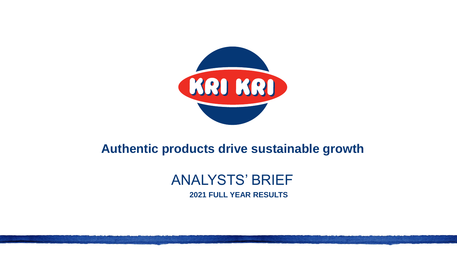

# **Authentic products drive sustainable growth**

# ANALYSTS' BRIEF **2021 FULL YEAR RESULTS**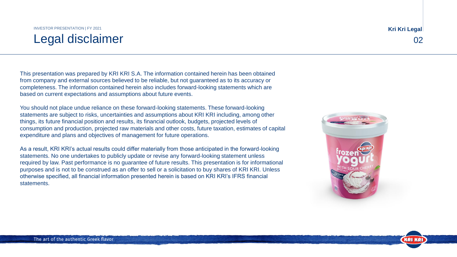## Legal disclaimer 02 INVESTOR PRESENTATION | FY 2021

This presentation was prepared by KRI KRI S.A. The information contained herein has been obtained from company and external sources believed to be reliable, but not guaranteed as to its accuracy or completeness. The information contained herein also includes forward-looking statements which are based on current expectations and assumptions about future events.

You should not place undue reliance on these forward-looking statements. These forward-looking statements are subject to risks, uncertainties and assumptions about KRI KRI including, among other things, its future financial position and results, its financial outlook, budgets, projected levels of consumption and production, projected raw materials and other costs, future taxation, estimates of capital expenditure and plans and objectives of management for future operations.

As a result, KRI KRI's actual results could differ materially from those anticipated in the forward-looking statements. No one undertakes to publicly update or revise any forward-looking statement unless required by law. Past performance is no guarantee of future results. This presentation is for informational purposes and is not to be construed as an offer to sell or a solicitation to buy shares of KRI KRI. Unless otherwise specified, all financial information presented herein is based on KRI KRI's IFRS financial statements.

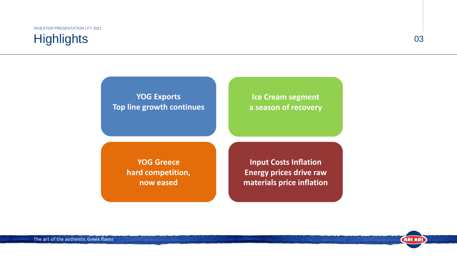# **Highlights**

### 03

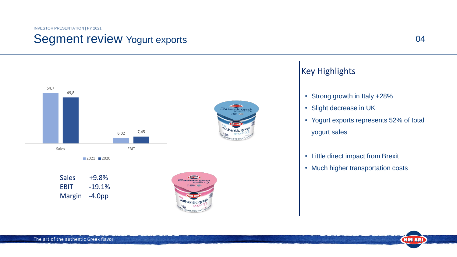## Segment review Yogurt exports



## Key Highlights

- Strong growth in Italy +28%
- Slight decrease in UK
- Yogurt exports represents 52% of total yogurt sales
- Little direct impact from Brexit
- Much higher transportation costs

EBIT -19.1% Margin -4.0pp

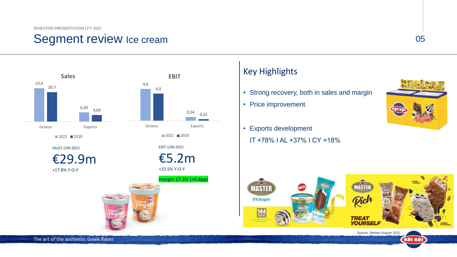## Segment review Ice cream 05



## Key Highlights

- Strong recovery, both in sales and margin
- Price improvement
- Exports development IΤ +78% I AL +37% I CY +18%



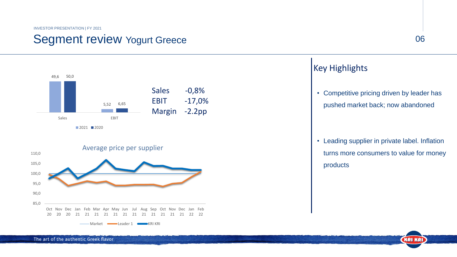## Segment review Yogurt Greece 06



**KRI KRI** 

### Key Highlights

• Competitive pricing driven by leader has pushed market back; now abandoned

• Leading supplier in private label. Inflation turns more consumers to value for money products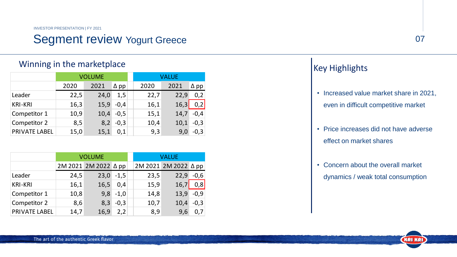## Segment review Yogurt Greece 07 07

### Winning in the marketplace

|                      | <b>VOLUME</b> |      |             |  | VALUE |      |             |  |
|----------------------|---------------|------|-------------|--|-------|------|-------------|--|
|                      | 2020          | 2021 | $\Delta$ pp |  | 2020  | 2021 | $\Delta$ pp |  |
| Leader               | 22,5          | 24,0 | 1,5         |  | 22,7  | 22,9 | 0,2         |  |
| <b>KRI-KRI</b>       | 16,3          | 15,9 | $-0,4$      |  | 16,1  | 16,3 | 0,2         |  |
| Competitor 1         | 10,9          | 10,4 | $-0,5$      |  | 15,1  | 14,7 | $-0,4$      |  |
| Competitor 2         | 8,5           | 8,2  | $-0,3$      |  | 10,4  | 10,1 | $-0,3$      |  |
| <b>PRIVATE LABEL</b> | 15,0          | 15,1 | 0,1         |  | 9,3   | 9,0  | $-0,3$      |  |

|                      | <b>VOLUME</b> |                      |            |  | <b>VALUE</b> |                      |        |  |
|----------------------|---------------|----------------------|------------|--|--------------|----------------------|--------|--|
|                      |               | 2M 2021 2M 2022 ∆ pp |            |  |              | 2M 2021 2M 2022 △ pp |        |  |
| Leader               | 24,5          | 23,0                 | $-1,5$     |  | 23,5         | 22,9                 | $-0,6$ |  |
| <b>KRI-KRI</b>       | 16,1          | 16,5                 | 0,4        |  | 15,9         | 16,7                 | 0,8    |  |
| Competitor 1         | 10,8          |                      | $9,8 -1,0$ |  | 14,8         | 13,9                 | $-0,9$ |  |
| Competitor 2         | 8,6           | 8,3                  | $-0,3$     |  | 10,7         | 10,4                 | $-0,3$ |  |
| <b>PRIVATE LABEL</b> | 14,7          | 16,9                 | 2,2        |  | 8,9          | 9,6                  |        |  |

## Key Highlights

- Increased value market share in 2021, even in difficult competitive market
- Price increases did not have adverse effect on market shares
- Concern about the overall market dynamics / weak total consumption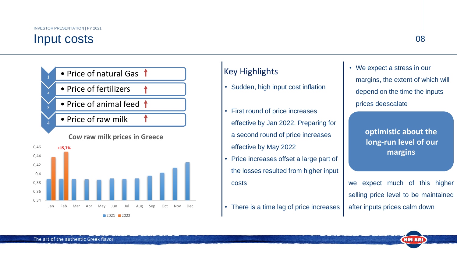## Input costs <sup>08</sup>





## Key Highlights

- Sudden, high input cost inflation
- First round of price increases effective by Jan 2022. Preparing for a second round of price increases effective by May 2022
- Price increases offset a large part of the losses resulted from higher input costs
- There is a time lag of price increases

• We expect a stress in our margins, the extent of which will depend on the time the inputs prices deescalate

> **optimistic about the long-run level of our margins**

we expect much of this higher selling price level to be maintained after inputs prices calm down

The art of the authentic Greek flavor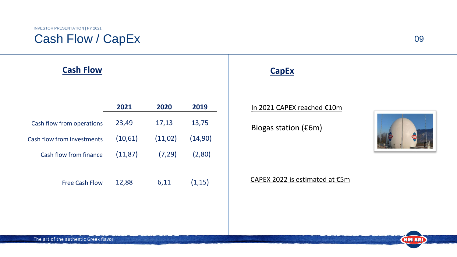## Cash Flow / CapEx

## **Cash Flow CapEx**

|                            | 2021     | 2020    | 2019    |
|----------------------------|----------|---------|---------|
| Cash flow from operations  | 23,49    | 17,13   | 13,75   |
| Cash flow from investments | (10,61)  | (11,02) | (14,90) |
| Cash flow from finance     | (11, 87) | (7, 29) | (2,80)  |
|                            |          |         |         |
| <b>Free Cash Flow</b>      | 12,88    | 6,11    | (1, 15) |

### In 2021 CAPEX reached €10m

Biogas station (€6m)



(KRI KRI)

09

### CAPEX 2022 is estimated at €5m

The art of the authentic Greek flavor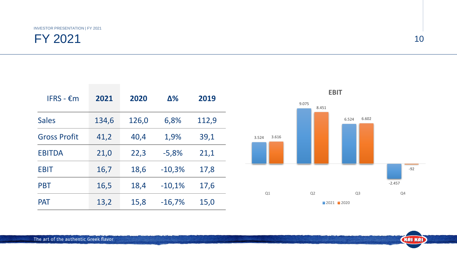| IFRS - $\epsilon$ m | 2021  | 2020  | $\Delta\%$ | 2019  |
|---------------------|-------|-------|------------|-------|
| <b>Sales</b>        | 134,6 | 126,0 | 6,8%       | 112,9 |
| <b>Gross Profit</b> | 41,2  | 40,4  | 1,9%       | 39,1  |
| <b>EBITDA</b>       | 21,0  | 22,3  | $-5,8%$    | 21,1  |
| <b>EBIT</b>         | 16,7  | 18,6  | $-10,3%$   | 17,8  |
| <b>PBT</b>          | 16,5  | 18,4  | $-10,1%$   | 17,6  |
| <b>PAT</b>          | 13,2  | 15,8  | $-16,7%$   | 15,0  |

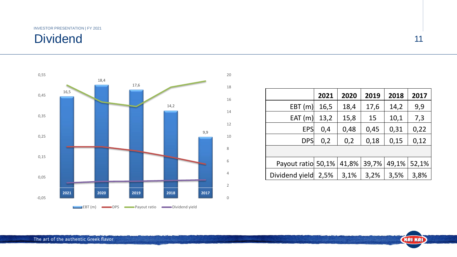# Dividend



|                    | 2021 | 2020  | 2019  | 2018  | 2017  |
|--------------------|------|-------|-------|-------|-------|
| EBT(m)             | 16,5 | 18,4  | 17,6  | 14,2  | 9,9   |
| EAT(m)             | 13,2 | 15,8  | 15    | 10,1  | 7,3   |
| <b>EPS</b>         | 0,4  | 0,48  | 0,45  | 0,31  | 0,22  |
| <b>DPS</b>         | 0,2  | 0,2   | 0,18  | 0,15  | 0,12  |
|                    |      |       |       |       |       |
| Payout ratio 50,1% |      | 41,8% | 39,7% | 49,1% | 52,1% |
| Dividend yield     | 2,5% | 3,1%  | 3,2%  | 3,5%  | 3,8%  |

11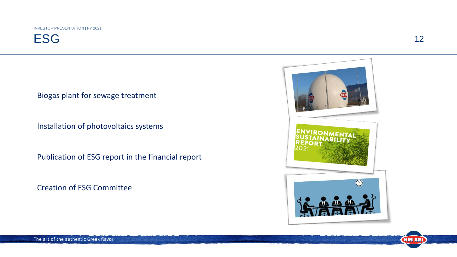**ESG** 

Biogas plant for sewage treatment

Ιnstallation of photovoltaics systems

Publication of ESG report in the financial report

Creation of ESG Committee



12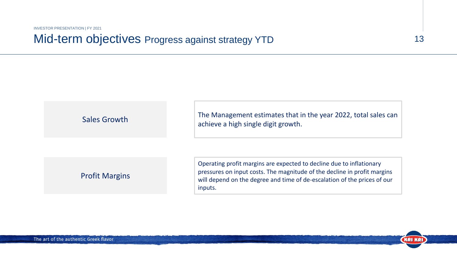## Mid-term objectives Progress against strategy YTD

Sales Growth The Management estimates that in the year 2022, total sales can achieve a high single digit growth.

13

**KRIKRI** 

### Profit Margins

Operating profit margins are expected to decline due to inflationary pressures on input costs. The magnitude of the decline in profit margins will depend on the degree and time of de-escalation of the prices of our inputs.